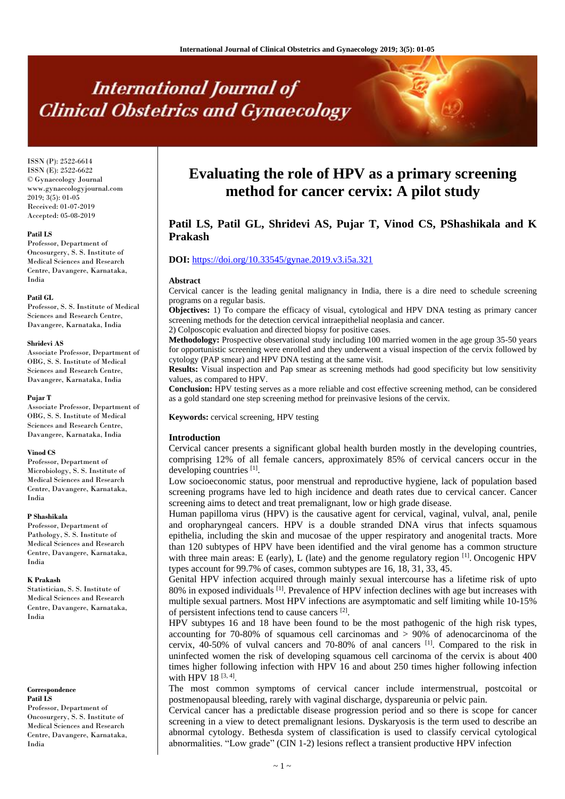# **International Journal of Clinical Obstetrics and Gynaecology**

ISSN (P): 2522-6614 ISSN (E): 2522-6622 © Gynaecology Journal www.gynaecologyjournal.com  $2019$ ;  $3(5)$ ; 01-05 Received: 01-07-2019 Accepted: 05-08-2019

### **Patil LS**

Professor, Department of Oncosurgery, S. S. Institute of Medical Sciences and Research Centre, Davangere, Karnataka, India

#### **Patil GL**

Professor, S. S. Institute of Medical Sciences and Research Centre, Davangere, Karnataka, India

#### **Shridevi AS**

Associate Professor, Department of OBG, S. S. Institute of Medical Sciences and Research Centre, Davangere, Karnataka, India

#### **Pujar T**

Associate Professor, Department of OBG, S. S. Institute of Medical Sciences and Research Centre, Davangere, Karnataka, India

#### **Vinod CS**

Professor, Department of Microbiology, S. S. Institute of Medical Sciences and Research Centre, Davangere, Karnataka, India

#### **P Shashikala**

Professor, Department of Pathology, S. S. Institute of Medical Sciences and Research Centre, Davangere, Karnataka, India

#### **K Prakash**

Statistician, S. S. Institute of Medical Sciences and Research Centre, Davangere, Karnataka, India

**Correspondence Patil LS**

Professor, Department of Oncosurgery, S. S. Institute of Medical Sciences and Research Centre, Davangere, Karnataka, India

# **Evaluating the role of HPV as a primary screening method for cancer cervix: A pilot study**

# **Patil LS, Patil GL, Shridevi AS, Pujar T, Vinod CS, PShashikala and K Prakash**

# **DOI:** <https://doi.org/10.33545/gynae.2019.v3.i5a.321>

#### **Abstract**

Cervical cancer is the leading genital malignancy in India, there is a dire need to schedule screening programs on a regular basis.

**Objectives:** 1) To compare the efficacy of visual, cytological and HPV DNA testing as primary cancer screening methods for the detection cervical intraepithelial neoplasia and cancer.

2) Colposcopic evaluation and directed biopsy for positive cases.

**Methodology:** Prospective observational study including 100 married women in the age group 35-50 years for opportunistic screening were enrolled and they underwent a visual inspection of the cervix followed by cytology (PAP smear) and HPV DNA testing at the same visit.

**Results:** Visual inspection and Pap smear as screening methods had good specificity but low sensitivity values, as compared to HPV.

**Conclusion:** HPV testing serves as a more reliable and cost effective screening method, can be considered as a gold standard one step screening method for preinvasive lesions of the cervix.

**Keywords:** cervical screening, HPV testing

#### **Introduction**

Cervical cancer presents a significant global health burden mostly in the developing countries, comprising 12% of all female cancers, approximately 85% of cervical cancers occur in the developing countries [1].

Low socioeconomic status, poor menstrual and reproductive hygiene, lack of population based screening programs have led to high incidence and death rates due to cervical cancer. Cancer screening aims to detect and treat premalignant, low or high grade disease.

Human papilloma virus (HPV) is the causative agent for cervical, vaginal, vulval, anal, penile and oropharyngeal cancers. HPV is a double stranded DNA virus that infects squamous epithelia, including the skin and mucosae of the upper respiratory and anogenital tracts. More than 120 subtypes of HPV have been identified and the viral genome has a common structure with three main areas: E (early), L (late) and the genome regulatory region  $\left[1\right]$ . Oncogenic HPV types account for 99.7% of cases, common subtypes are 16, 18, 31, 33, 45.

Genital HPV infection acquired through mainly sexual intercourse has a lifetime risk of upto 80% in exposed individuals <sup>[1]</sup>. Prevalence of HPV infection declines with age but increases with multiple sexual partners. Most HPV infections are asymptomatic and self limiting while 10-15% of persistent infections tend to cause cancers [2].

HPV subtypes 16 and 18 have been found to be the most pathogenic of the high risk types, accounting for 70-80% of squamous cell carcinomas and > 90% of adenocarcinoma of the cervix, 40-50% of vulval cancers and 70-80% of anal cancers [1] . Compared to the risk in uninfected women the risk of developing squamous cell carcinoma of the cervix is about 400 times higher following infection with HPV 16 and about 250 times higher following infection with HPV 18<sup>[3, 4]</sup>.

The most common symptoms of cervical cancer include intermenstrual, postcoital or postmenopausal bleeding, rarely with vaginal discharge, dyspareunia or pelvic pain.

Cervical cancer has a predictable disease progression period and so there is scope for cancer screening in a view to detect premalignant lesions. Dyskaryosis is the term used to describe an abnormal cytology. Bethesda system of classification is used to classify cervical cytological abnormalities. "Low grade" (CIN 1-2) lesions reflect a transient productive HPV infection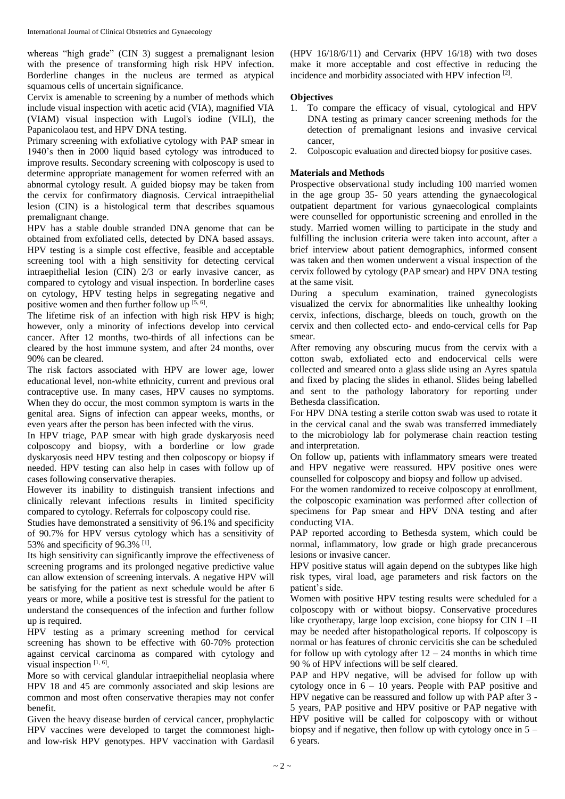whereas "high grade" (CIN 3) suggest a premalignant lesion with the presence of transforming high risk HPV infection. Borderline changes in the nucleus are termed as atypical squamous cells of uncertain significance.

Cervix is amenable to screening by a number of methods which include visual inspection with acetic acid (VIA), magnified VIA (VIAM) visual inspection with Lugol's iodine (VILI), the Papanicolaou test, and HPV DNA testing.

Primary screening with exfoliative cytology with PAP smear in 1940's then in 2000 liquid based cytology was introduced to improve results. Secondary screening with colposcopy is used to determine appropriate management for women referred with an abnormal cytology result. A guided biopsy may be taken from the cervix for confirmatory diagnosis. Cervical intraepithelial lesion (CIN) is a histological term that describes squamous premalignant change.

HPV has a stable double stranded DNA genome that can be obtained from exfoliated cells, detected by DNA based assays. HPV testing is a simple cost effective, feasible and acceptable screening tool with a high sensitivity for detecting cervical intraepithelial lesion (CIN) 2/3 or early invasive cancer, as compared to cytology and visual inspection. In borderline cases on cytology, HPV testing helps in segregating negative and positive women and then further follow up  $[5, 6]$ .

The lifetime risk of an infection with high risk HPV is high; however, only a minority of infections develop into cervical cancer. After 12 months, two-thirds of all infections can be cleared by the host immune system, and after 24 months, over 90% can be cleared.

The risk factors associated with HPV are lower age, lower educational level, non-white ethnicity, current and previous oral contraceptive use. In many cases, HPV causes no symptoms. When they do occur, the most common symptom is warts in the genital area. Signs of infection can appear weeks, months, or even years after the person has been infected with the virus.

In HPV triage, PAP smear with high grade dyskaryosis need colposcopy and biopsy, with a borderline or low grade dyskaryosis need HPV testing and then colposcopy or biopsy if needed. HPV testing can also help in cases with follow up of cases following conservative therapies.

However its inability to distinguish transient infections and clinically relevant infections results in limited specificity compared to cytology. Referrals for colposcopy could rise.

Studies have demonstrated a sensitivity of 96.1% and specificity of 90.7% for HPV versus cytology which has a sensitivity of 53% and specificity of 96.3% <sup>[1]</sup>.

Its high sensitivity can significantly improve the effectiveness of screening programs and its prolonged negative predictive value can allow extension of screening intervals. A negative HPV will be satisfying for the patient as next schedule would be after 6 years or more, while a positive test is stressful for the patient to understand the consequences of the infection and further follow up is required.

HPV testing as a primary screening method for cervical screening has shown to be effective with 60-70% protection against cervical carcinoma as compared with cytology and visual inspection  $[1, 6]$ .

More so with cervical glandular intraepithelial neoplasia where HPV 18 and 45 are commonly associated and skip lesions are common and most often conservative therapies may not confer benefit.

Given the heavy disease burden of cervical cancer, prophylactic HPV vaccines were developed to target the commonest highand low-risk HPV genotypes. HPV vaccination with Gardasil

 $(HPV 16/18/6/11)$  and Cervarix  $(HPV 16/18)$  with two doses make it more acceptable and cost effective in reducing the incidence and morbidity associated with HPV infection [2].

# **Objectives**

- 1. To compare the efficacy of visual, cytological and HPV DNA testing as primary cancer screening methods for the detection of premalignant lesions and invasive cervical cancer,
- 2. Colposcopic evaluation and directed biopsy for positive cases.

# **Materials and Methods**

Prospective observational study including 100 married women in the age group 35- 50 years attending the gynaecological outpatient department for various gynaecological complaints were counselled for opportunistic screening and enrolled in the study. Married women willing to participate in the study and fulfilling the inclusion criteria were taken into account, after a brief interview about patient demographics, informed consent was taken and then women underwent a visual inspection of the cervix followed by cytology (PAP smear) and HPV DNA testing at the same visit.

During a speculum examination, trained gynecologists visualized the cervix for abnormalities like unhealthy looking cervix, infections, discharge, bleeds on touch, growth on the cervix and then collected ecto- and endo-cervical cells for Pap smear.

After removing any obscuring mucus from the cervix with a cotton swab, exfoliated ecto and endocervical cells were collected and smeared onto a glass slide using an Ayres spatula and fixed by placing the slides in ethanol. Slides being labelled and sent to the pathology laboratory for reporting under Bethesda classification.

For HPV DNA testing a sterile cotton swab was used to rotate it in the cervical canal and the swab was transferred immediately to the microbiology lab for polymerase chain reaction testing and interpretation.

On follow up, patients with inflammatory smears were treated and HPV negative were reassured. HPV positive ones were counselled for colposcopy and biopsy and follow up advised.

For the women randomized to receive colposcopy at enrollment, the colposcopic examination was performed after collection of specimens for Pap smear and HPV DNA testing and after conducting VIA.

PAP reported according to Bethesda system, which could be normal, inflammatory, low grade or high grade precancerous lesions or invasive cancer.

HPV positive status will again depend on the subtypes like high risk types, viral load, age parameters and risk factors on the patient's side.

Women with positive HPV testing results were scheduled for a colposcopy with or without biopsy. Conservative procedures like cryotherapy, large loop excision, cone biopsy for CIN I –II may be needed after histopathological reports. If colposcopy is normal or has features of chronic cervicitis she can be scheduled for follow up with cytology after  $12 - 24$  months in which time 90 % of HPV infections will be self cleared.

PAP and HPV negative, will be advised for follow up with cytology once in  $6 - 10$  years. People with PAP positive and HPV negative can be reassured and follow up with PAP after 3 - 5 years, PAP positive and HPV positive or PAP negative with HPV positive will be called for colposcopy with or without biopsy and if negative, then follow up with cytology once in 5 – 6 years.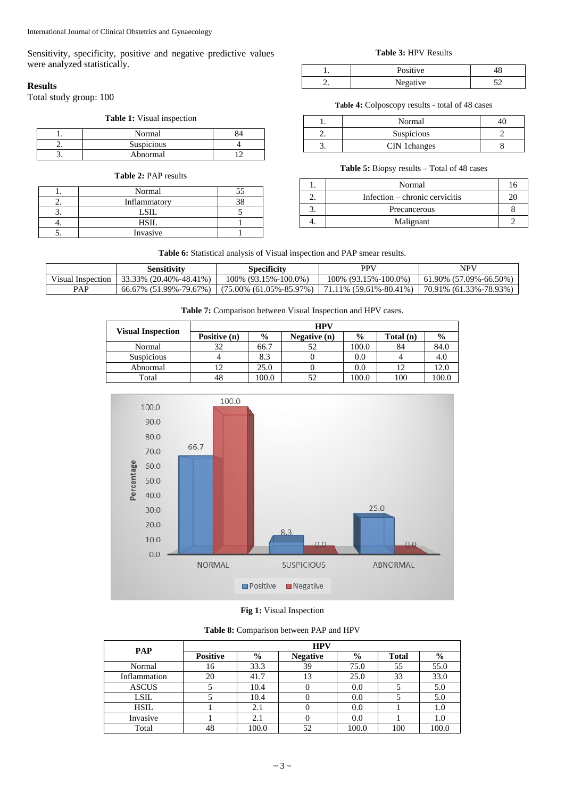Sensitivity, specificity, positive and negative predictive values were analyzed statistically.

# **Results**

Total study group: 100

# **Table 1:** Visual inspection

| Normal            |  |
|-------------------|--|
| <b>Suspicious</b> |  |
| Abnormal          |  |

| <b>Table 2: PAP results</b> |              |    |  |  |
|-----------------------------|--------------|----|--|--|
|                             | Normal       | 55 |  |  |
|                             | Inflammatory |    |  |  |
|                             | LSIL         |    |  |  |
|                             | HSIL         |    |  |  |
|                             | Invasive     |    |  |  |

# **Table 3:** HPV Results

| Positive |  |
|----------|--|
| Negative |  |

**Table 4:** Colposcopy results - total of 48 cases

| Normal       |  |
|--------------|--|
| Suspicious   |  |
| CIN 1changes |  |

# **Table 5:** Biopsy results – Total of 48 cases

| Normal                         | 16 |
|--------------------------------|----|
| Infection – chronic cervicitis |    |
| Precancerous                   |    |
| Malignant                      |    |

# **Table 6:** Statistical analysis of Visual inspection and PAP smear results.

|                   | Sensitivity                   | <b>Specificity</b>                                                                                    | PPV                     | NPV                            |
|-------------------|-------------------------------|-------------------------------------------------------------------------------------------------------|-------------------------|--------------------------------|
| Visual Inspection | $\mid$ 33.33% (20.40%-48.41%) | $100\%$ (93.15%-100.0%)                                                                               | $100\%$ (93.15%-100.0%) | $(61.90\% (57.09\% - 66.50\%)$ |
| PAP               |                               | $66.67\%$ (51.99%-79.67%)   (75.00% (61.05%-85.97%)   71.11% (59.61%-80.41%)   70.91% (61.33%-78.93%) |                         |                                |

|                          | <b>HPV</b>   |       |                |       |           |               |  |
|--------------------------|--------------|-------|----------------|-------|-----------|---------------|--|
| <b>Visual Inspection</b> | Positive (n) | $\%$  | Negative $(n)$ | $\%$  | Total (n) | $\frac{6}{9}$ |  |
| Normal                   | 32           | 66.7  | 52             | 100.0 | 84        | 84.0          |  |
| <b>Suspicious</b>        |              | 8.3   |                | 0.0   |           | 4.0           |  |
| Abnormal                 |              | 25.0  |                | 0.0   |           | 12.0          |  |
| Total                    | 48           | 100.0 | 52             | 100.0 | 100       | 100.0         |  |



**Fig 1:** Visual Inspection

**Table 8:** Comparison between PAP and HPV

| <b>PAP</b>   | <b>HPV</b>      |               |                 |               |              |               |
|--------------|-----------------|---------------|-----------------|---------------|--------------|---------------|
|              | <b>Positive</b> | $\frac{6}{9}$ | <b>Negative</b> | $\frac{6}{9}$ | <b>Total</b> | $\frac{6}{9}$ |
| Normal       | 16              | 33.3          | 39              | 75.0          | 55           | 55.0          |
| Inflammation | 20              | 41.7          | 13              | 25.0          | 33           | 33.0          |
| <b>ASCUS</b> |                 | 10.4          |                 | 0.0           |              | 5.0           |
| LSIL         |                 | 10.4          |                 | 0.0           |              | 5.0           |
| HSIL         |                 | 2.1           |                 | 0.0           |              | 1.0           |
| Invasive     |                 | 2.1           |                 | 0.0           |              | 1.0           |
| Total        | 48              | 100.0         | 52              | 100.0         | 100          | 100.0         |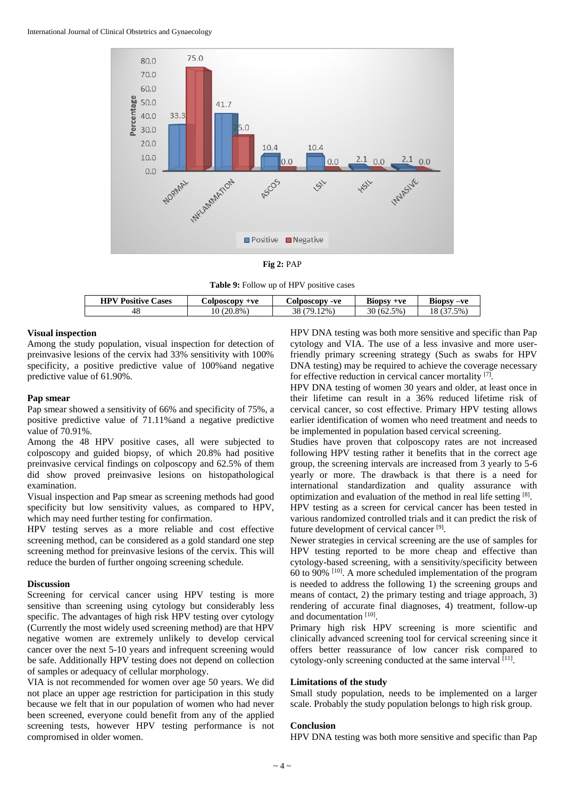

**Fig 2:** PAP

|  |  |  | Table 9: Follow up of HPV positive cases |
|--|--|--|------------------------------------------|
|--|--|--|------------------------------------------|

| <b>HPV Positive</b> | $+ve$             | -ve               | <b>Biopsy</b>          | Biopsy-ve |
|---------------------|-------------------|-------------------|------------------------|-----------|
| Cases               | <b>Colposcopy</b> | <b>Colposcopy</b> | $+ve$                  |           |
| 48                  | 8%<br>10.<br>21   | $2\%$<br>TQ       | 5%<br>30<br>$U \sim U$ | 5%<br>10  |

## **Visual inspection**

Among the study population, visual inspection for detection of preinvasive lesions of the cervix had 33% sensitivity with 100% specificity, a positive predictive value of 100%and negative predictive value of 61.90%.

#### **Pap smear**

Pap smear showed a sensitivity of 66% and specificity of 75%, a positive predictive value of 71.11%and a negative predictive value of 70.91%.

Among the 48 HPV positive cases, all were subjected to colposcopy and guided biopsy, of which 20.8% had positive preinvasive cervical findings on colposcopy and 62.5% of them did show proved preinvasive lesions on histopathological examination.

Visual inspection and Pap smear as screening methods had good specificity but low sensitivity values, as compared to HPV, which may need further testing for confirmation.

HPV testing serves as a more reliable and cost effective screening method, can be considered as a gold standard one step screening method for preinvasive lesions of the cervix. This will reduce the burden of further ongoing screening schedule.

#### **Discussion**

Screening for cervical cancer using HPV testing is more sensitive than screening using cytology but considerably less specific. The advantages of high risk HPV testing over cytology (Currently the most widely used screening method) are that HPV negative women are extremely unlikely to develop cervical cancer over the next 5-10 years and infrequent screening would be safe. Additionally HPV testing does not depend on collection of samples or adequacy of cellular morphology.

VIA is not recommended for women over age 50 years. We did not place an upper age restriction for participation in this study because we felt that in our population of women who had never been screened, everyone could benefit from any of the applied screening tests, however HPV testing performance is not compromised in older women.

HPV DNA testing was both more sensitive and specific than Pap cytology and VIA. The use of a less invasive and more userfriendly primary screening strategy (Such as swabs for HPV DNA testing) may be required to achieve the coverage necessary for effective reduction in cervical cancer mortality [7].

HPV DNA testing of women 30 years and older, at least once in their lifetime can result in a 36% reduced lifetime risk of cervical cancer, so cost effective. Primary HPV testing allows earlier identification of women who need treatment and needs to be implemented in population based cervical screening.

Studies have proven that colposcopy rates are not increased following HPV testing rather it benefits that in the correct age group, the screening intervals are increased from 3 yearly to 5-6 yearly or more. The drawback is that there is a need for international standardization and quality assurance with optimization and evaluation of the method in real life setting [8].

HPV testing as a screen for cervical cancer has been tested in various randomized controlled trials and it can predict the risk of future development of cervical cancer<sup>[9]</sup>.

Newer strategies in cervical screening are the use of samples for HPV testing reported to be more cheap and effective than cytology-based screening, with a sensitivity/specificity between 60 to 90% [10] . A more scheduled implementation of the program is needed to address the following 1) the screening groups and means of contact, 2) the primary testing and triage approach, 3) rendering of accurate final diagnoses, 4) treatment, follow-up and documentation [10].

Primary high risk HPV screening is more scientific and clinically advanced screening tool for cervical screening since it offers better reassurance of low cancer risk compared to cytology-only screening conducted at the same interval [11].

# **Limitations of the study**

Small study population, needs to be implemented on a larger scale. Probably the study population belongs to high risk group.

### **Conclusion**

HPV DNA testing was both more sensitive and specific than Pap